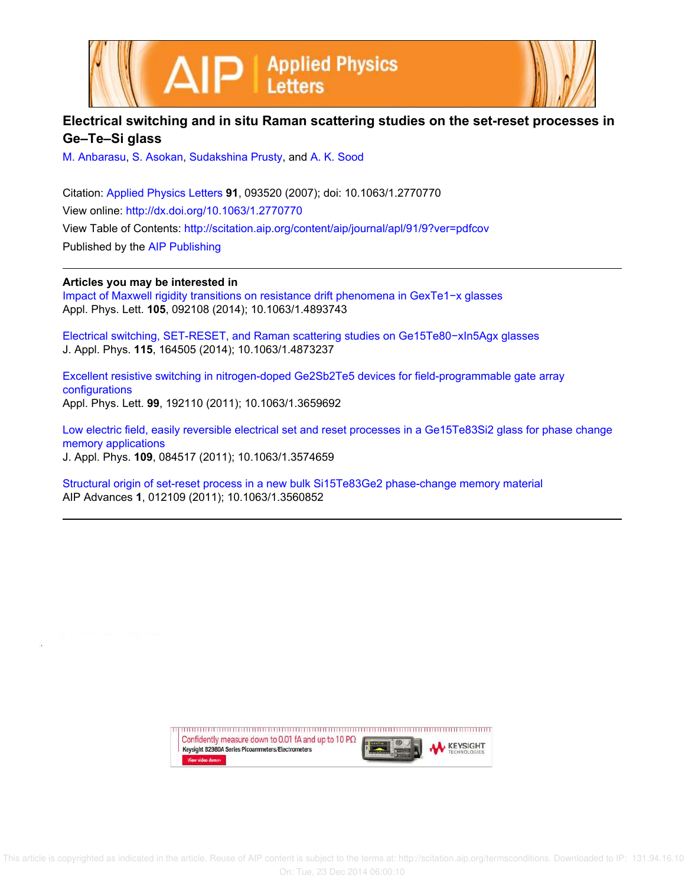

| Electrical switching and in situ Raman scattering studies on the set-reset processes in |  |
|-----------------------------------------------------------------------------------------|--|
| Ge–Te–Si glass                                                                          |  |

M. Anbarasu, S. Asokan, Sudakshina Prusty, and A. K. Sood

Citation: Applied Physics Letters **91**, 093520 (2007); doi: 10.1063/1.2770770 View online: http://dx.doi.org/10.1063/1.2770770 View Table of Contents: http://scitation.aip.org/content/aip/journal/apl/91/9?ver=pdfcov Published by the AIP Publishing

**Articles you may be interested in**

Impact of Maxwell rigidity transitions on resistance drift phenomena in GexTe1−x glasses Appl. Phys. Lett. **105**, 092108 (2014); 10.1063/1.4893743

Electrical switching, SET-RESET, and Raman scattering studies on Ge15Te80−xIn5Agx glasses J. Appl. Phys. **115**, 164505 (2014); 10.1063/1.4873237

Excellent resistive switching in nitrogen-doped Ge2Sb2Te5 devices for field-programmable gate array configurations Appl. Phys. Lett. **99**, 192110 (2011); 10.1063/1.3659692

Low electric field, easily reversible electrical set and reset processes in a Ge15Te83Si2 glass for phase change memory applications J. Appl. Phys. **109**, 084517 (2011); 10.1063/1.3574659

Structural origin of set-reset process in a new bulk Si15Te83Ge2 phase-change memory material AIP Advances **1**, 012109 (2011); 10.1063/1.3560852

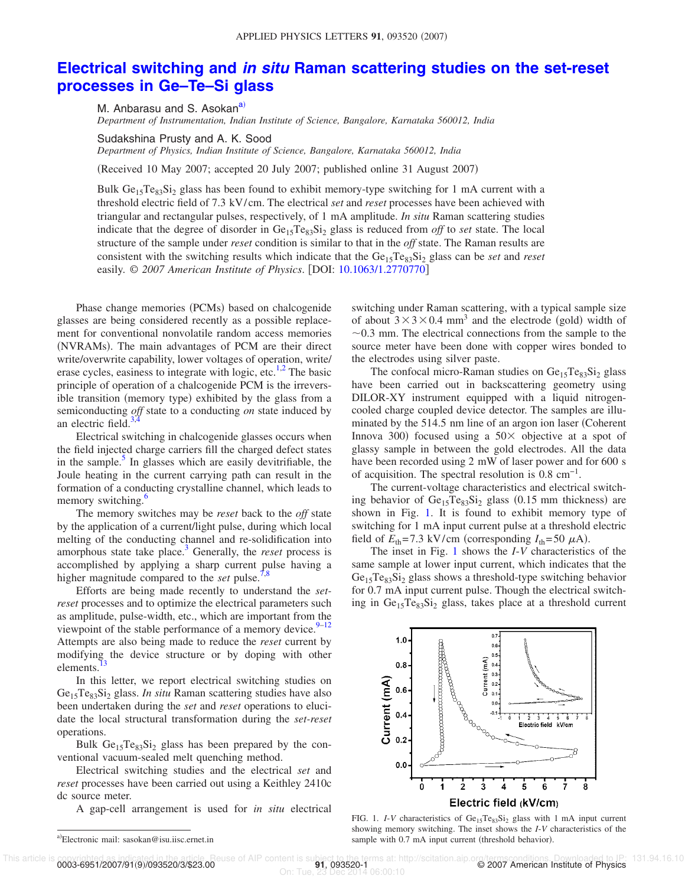## **Electrical switching and in situ Raman scattering studies on the set-reset processes in Ge–Te–Si glass**

M. Anbarasu and S. Asokan<sup>a)</sup> *Department of Instrumentation, Indian Institute of Science, Bangalore, Karnataka 560012, India*

Sudakshina Prusty and A. K. Sood *Department of Physics, Indian Institute of Science, Bangalore, Karnataka 560012, India*

Received 10 May 2007; accepted 20 July 2007; published online 31 August 2007-

Bulk  $Ge<sub>15</sub>Te<sub>83</sub>Si<sub>2</sub>$  glass has been found to exhibit memory-type switching for 1 mA current with a threshold electric field of 7.3 kV/cm. The electrical *set* and *reset* processes have been achieved with triangular and rectangular pulses, respectively, of 1 mA amplitude. *In situ* Raman scattering studies indicate that the degree of disorder in  $Ge_{15}Te_{83}Si_2$  glass is reduced from *off* to *set* state. The local structure of the sample under *reset* condition is similar to that in the *off* state. The Raman results are consistent with the switching results which indicate that the Ge<sub>15</sub>Te<sub>83</sub>Si<sub>2</sub> glass can be *set* and *reset* easily. © *2007 American Institute of Physics*. DOI: 10.1063/1.2770770

Phase change memories (PCMs) based on chalcogenide glasses are being considered recently as a possible replacement for conventional nonvolatile random access memories (NVRAMs). The main advantages of PCM are their direct write/overwrite capability, lower voltages of operation, write/ erase cycles, easiness to integrate with logic, etc.<sup>1,2</sup> The basic principle of operation of a chalcogenide PCM is the irreversible transition (memory type) exhibited by the glass from a semiconducting *off* state to a conducting *on* state induced by an electric field.<sup>3</sup>

Electrical switching in chalcogenide glasses occurs when the field injected charge carriers fill the charged defect states in the sample.<sup>5</sup> In glasses which are easily devitrifiable, the Joule heating in the current carrying path can result in the formation of a conducting crystalline channel, which leads to memory switching.<sup>6</sup>

The memory switches may be *reset* back to the *off* state by the application of a current/light pulse, during which local melting of the conducting channel and re-solidification into amorphous state take place.<sup>3</sup> Generally, the *reset* process is accomplished by applying a sharp current pulse having a higher magnitude compared to the *set* pulse.<sup>7</sup>

Efforts are being made recently to understand the *setreset* processes and to optimize the electrical parameters such as amplitude, pulse-width, etc., which are important from the viewpoint of the stable performance of a memory device.  $9-12$ Attempts are also being made to reduce the *reset* current by modifying the device structure or by doping with other elements.<sup>1</sup>

In this letter, we report electrical switching studies on Ge<sub>15</sub>Te<sub>83</sub>Si<sub>2</sub> glass. *In situ* Raman scattering studies have also been undertaken during the *set* and *reset* operations to elucidate the local structural transformation during the *set-reset* operations.

Bulk  $Ge<sub>15</sub>Te<sub>83</sub>Si<sub>2</sub>$  glass has been prepared by the conventional vacuum-sealed melt quenching method.

Electrical switching studies and the electrical *set* and *reset* processes have been carried out using a Keithley 2410c dc source meter.

A gap-cell arrangement is used for *in situ* electrical

switching under Raman scattering, with a typical sample size of about  $3 \times 3 \times 0.4$  mm<sup>3</sup> and the electrode (gold) width of  $\sim$ 0.3 mm. The electrical connections from the sample to the source meter have been done with copper wires bonded to the electrodes using silver paste.

The confocal micro-Raman studies on  $Ge_{15}Te_{83}Si_2$  glass have been carried out in backscattering geometry using DILOR-XY instrument equipped with a liquid nitrogencooled charge coupled device detector. The samples are illuminated by the 514.5 nm line of an argon ion laser Coherent Innova 300) focused using a  $50\times$  objective at a spot of glassy sample in between the gold electrodes. All the data have been recorded using 2 mW of laser power and for 600 s of acquisition. The spectral resolution is  $0.8 \text{ cm}^{-1}$ .

The current-voltage characteristics and electrical switching behavior of  $Ge_{15}Te_{83}Si_2$  glass (0.15 mm thickness) are shown in Fig. 1. It is found to exhibit memory type of switching for 1 mA input current pulse at a threshold electric field of  $E_{\text{th}} = 7.3 \text{ kV/cm}$  (corresponding  $I_{\text{th}} = 50 \mu\text{A}$ ).

The inset in Fig. 1 shows the *I*-*V* characteristics of the same sample at lower input current, which indicates that the  $Ge<sub>15</sub>Te<sub>83</sub>Si<sub>2</sub> glass shows a threshold-type switching behavior$ for 0.7 mA input current pulse. Though the electrical switching in  $Ge_{15}Te_{83}Si_2$  glass, takes place at a threshold current



FIG. 1. *I-V* characteristics of  $Ge_{15}Te_{83}Si_2$  glass with 1 mA input current showing memory switching. The inset shows the *I*-*V* characteristics of the sample with 0.7 mA input current (threshold behavior).

On: Tue, 23 Dec 2014 06:00:10

a)Electronic mail: sasokan@isu.iisc.ernet.in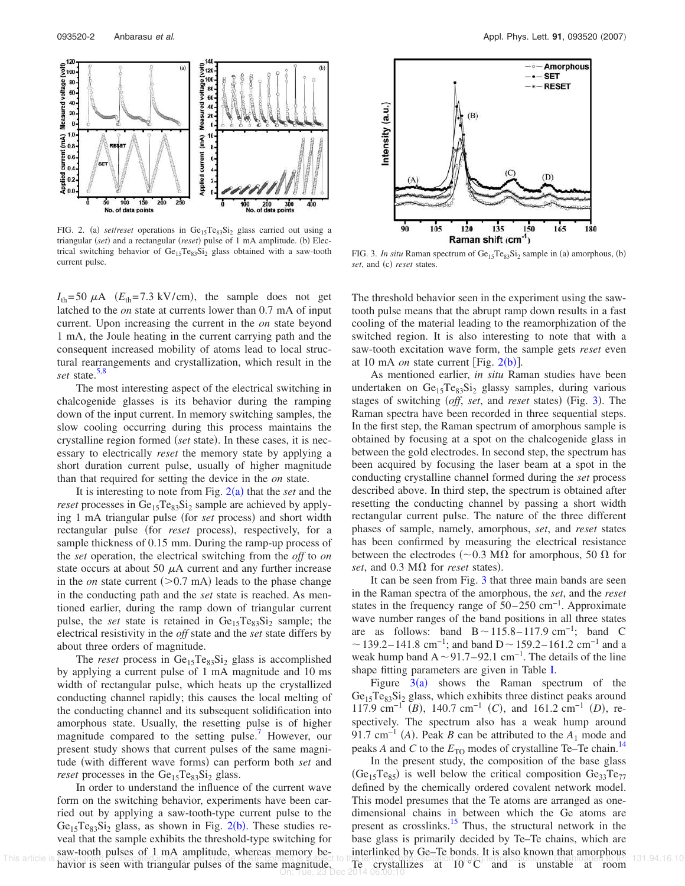

FIG. 2. (a) *setlreset* operations in Ge<sub>15</sub>Te<sub>83</sub>Si<sub>2</sub> glass carried out using a triangular (set) and a rectangular (reset) pulse of 1 mA amplitude. (b) Electrical switching behavior of  $Ge_{15}Te_{83}Si_2$  glass obtained with a saw-tooth current pulse.

 $I_{\text{th}} = 50 \mu\text{A}$  ( $E_{\text{th}} = 7.3 \text{ kV/cm}$ ), the sample does not get latched to the *on* state at currents lower than 0.7 mA of input current. Upon increasing the current in the *on* state beyond 1 mA, the Joule heating in the current carrying path and the consequent increased mobility of atoms lead to local structural rearrangements and crystallization, which result in the *set* state.<sup>5,8</sup>

The most interesting aspect of the electrical switching in chalcogenide glasses is its behavior during the ramping down of the input current. In memory switching samples, the slow cooling occurring during this process maintains the crystalline region formed (set state). In these cases, it is necessary to electrically *reset* the memory state by applying a short duration current pulse, usually of higher magnitude than that required for setting the device in the *on* state.

It is interesting to note from Fig.  $2(a)$  that the *set* and the *reset* processes in  $Ge_{15}Te_{83}Si_2$  sample are achieved by applying 1 mA triangular pulse (for *set* process) and short width rectangular pulse (for *reset* process), respectively, for a sample thickness of 0.15 mm. During the ramp-up process of the *set* operation, the electrical switching from the *off* to *on* state occurs at about 50  $\mu$ A current and any further increase in the *on* state current  $(>0.7 \text{ mA})$  leads to the phase change in the conducting path and the *set* state is reached. As mentioned earlier, during the ramp down of triangular current pulse, the *set* state is retained in  $Ge_{15}Te_{83}Si_2$  sample; the electrical resistivity in the *off* state and the *set* state differs by about three orders of magnitude.

The *reset* process in  $Ge_{15}Te_{83}Si_2$  glass is accomplished by applying a current pulse of 1 mA magnitude and 10 ms width of rectangular pulse, which heats up the crystallized conducting channel rapidly; this causes the local melting of the conducting channel and its subsequent solidification into amorphous state. Usually, the resetting pulse is of higher magnitude compared to the setting pulse. However, our present study shows that current pulses of the same magnitude (with different wave forms) can perform both *set* and *reset* processes in the  $Ge_{15}Te_{83}Si_2$  glass.

In order to understand the influence of the current wave form on the switching behavior, experiments have been carried out by applying a saw-tooth-type current pulse to the  $Ge_{15}Te_{83}Si_2$  glass, as shown in Fig. 2(b). These studies reveal that the sample exhibits the threshold-type switching for saw-tooth pulses of 1 mA amplitude, whereas memory behavior is seen with triangular pulses of the same magnitude.



FIG. 3. *In situ* Raman spectrum of Ge<sub>15</sub>Te<sub>83</sub>Si<sub>2</sub> sample in (a) amorphous, (b) set, and (c) reset states.

The threshold behavior seen in the experiment using the sawtooth pulse means that the abrupt ramp down results in a fast cooling of the material leading to the reamorphization of the switched region. It is also interesting to note that with a saw-tooth excitation wave form, the sample gets *reset* even at 10 mA *on* state current [Fig.  $2(b)$ ].

As mentioned earlier, *in situ* Raman studies have been undertaken on  $Ge_{15}Te_{83}Si_2$  glassy samples, during various stages of switching (off, set, and reset states) (Fig. 3). The Raman spectra have been recorded in three sequential steps. In the first step, the Raman spectrum of amorphous sample is obtained by focusing at a spot on the chalcogenide glass in between the gold electrodes. In second step, the spectrum has been acquired by focusing the laser beam at a spot in the conducting crystalline channel formed during the *set* process described above. In third step, the spectrum is obtained after resetting the conducting channel by passing a short width rectangular current pulse. The nature of the three different phases of sample, namely, amorphous, *set*, and *reset* states has been confirmed by measuring the electrical resistance between the electrodes ( $\sim$ 0.3 M $\Omega$  for amorphous, 50  $\Omega$  for set, and  $0.3 \text{ M}\Omega$  for *reset* states).

It can be seen from Fig. 3 that three main bands are seen in the Raman spectra of the amorphous, the *set*, and the *reset* states in the frequency range of  $50-250$  cm<sup>-1</sup>. Approximate wave number ranges of the band positions in all three states are as follows: band  $B \sim 115.8-117.9$  cm<sup>-1</sup>; band C  $\sim$  139.2–141.8 cm<sup>-1</sup>; and band D  $\sim$  159.2–161.2 cm<sup>-1</sup> and a weak hump band A ~91.7–92.1 cm<sup>-1</sup>. The details of the line shape fitting parameters are given in Table I.

Figure  $3(a)$  shows the Raman spectrum of the  $Ge<sub>15</sub>Te<sub>83</sub>Si<sub>2</sub> glass$ , which exhibits three distinct peaks around 117.9 cm<sup>-1</sup> (*B*), 140.7 cm<sup>-1</sup> (*C*), and 161.2 cm<sup>-1</sup> (*D*), respectively. The spectrum also has a weak hump around 91.7 cm<sup>-1</sup> (A). Peak *B* can be attributed to the  $A_1$  mode and peaks *A* and *C* to the  $E_{\text{TO}}$  modes of crystalline Te–Te chain.<sup>14</sup>

In the present study, the composition of the base glass  $(Ge_{15}Te_{85})$  is well below the critical composition  $Ge_{33}Te_{77}$ defined by the chemically ordered covalent network model. This model presumes that the Te atoms are arranged as onedimensional chains in between which the Ge atoms are present as crosslinks.<sup>15</sup> Thus, the structural network in the base glass is primarily decided by Te–Te chains, which are interlinked by Ge–Te bonds. It is also known that amorphous This article is coving the assumption of the article is covered to the terms at the constraint of the same magnitude. The crystallizes at  $10^{\circ}$ C and is unstable at room havior is seen with triangular pulses of the same On: Tue, 23 Dec 2014 06:00:10